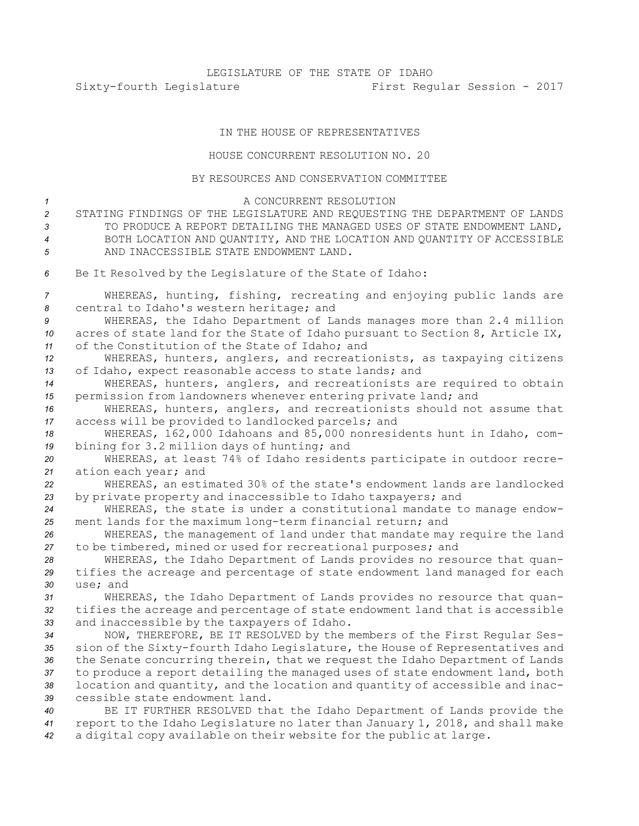## IN THE HOUSE OF REPRESENTATIVES

## HOUSE CONCURRENT RESOLUTION NO. 20

## BY RESOURCES AND CONSERVATION COMMITTEE

| $\mathcal{I}$<br>$\overline{c}$<br>3<br>$\overline{4}$<br>5 | A CONCURRENT RESOLUTION<br>STATING FINDINGS OF THE LEGISLATURE AND REQUESTING THE DEPARTMENT OF LANDS<br>TO PRODUCE A REPORT DETAILING THE MANAGED USES OF STATE ENDOWMENT LAND,<br>BOTH LOCATION AND QUANTITY, AND THE LOCATION AND QUANTITY OF ACCESSIBLE<br>AND INACCESSIBLE STATE ENDOWMENT LAND. |
|-------------------------------------------------------------|-------------------------------------------------------------------------------------------------------------------------------------------------------------------------------------------------------------------------------------------------------------------------------------------------------|
| 6                                                           | Be It Resolved by the Legislature of the State of Idaho:                                                                                                                                                                                                                                              |
| 7<br>8                                                      | WHEREAS, hunting, fishing, recreating and enjoying public lands are<br>central to Idaho's western heritage; and                                                                                                                                                                                       |
| 9                                                           | WHEREAS, the Idaho Department of Lands manages more than 2.4 million                                                                                                                                                                                                                                  |
| 10                                                          | acres of state land for the State of Idaho pursuant to Section 8, Article IX,                                                                                                                                                                                                                         |
| 11                                                          | of the Constitution of the State of Idaho; and                                                                                                                                                                                                                                                        |
| 12                                                          | WHEREAS, hunters, anglers, and recreationists, as taxpaying citizens                                                                                                                                                                                                                                  |
| 13                                                          | of Idaho, expect reasonable access to state lands; and                                                                                                                                                                                                                                                |
| 14                                                          | WHEREAS, hunters, anglers, and recreationists are required to obtain                                                                                                                                                                                                                                  |
| 15                                                          | permission from landowners whenever entering private land; and                                                                                                                                                                                                                                        |
| 16                                                          | WHEREAS, hunters, anglers, and recreationists should not assume that                                                                                                                                                                                                                                  |
| 17                                                          | access will be provided to landlocked parcels; and                                                                                                                                                                                                                                                    |
| 18                                                          | WHEREAS, 162,000 Idahoans and 85,000 nonresidents hunt in Idaho, com-                                                                                                                                                                                                                                 |
| 19                                                          | bining for 3.2 million days of hunting; and                                                                                                                                                                                                                                                           |
| 20                                                          | WHEREAS, at least 74% of Idaho residents participate in outdoor recre-                                                                                                                                                                                                                                |
| 21                                                          | ation each year; and                                                                                                                                                                                                                                                                                  |
| 22                                                          | WHEREAS, an estimated 30% of the state's endowment lands are landlocked                                                                                                                                                                                                                               |
| 23                                                          | by private property and inaccessible to Idaho taxpayers; and<br>WHEREAS, the state is under a constitutional mandate to manage endow-                                                                                                                                                                 |
| 24<br>25                                                    | ment lands for the maximum long-term financial return; and                                                                                                                                                                                                                                            |
| 26                                                          | WHEREAS, the management of land under that mandate may require the land                                                                                                                                                                                                                               |
| 27                                                          | to be timbered, mined or used for recreational purposes; and                                                                                                                                                                                                                                          |
| 28                                                          | WHEREAS, the Idaho Department of Lands provides no resource that quan-                                                                                                                                                                                                                                |
| 29                                                          | tifies the acreage and percentage of state endowment land managed for each                                                                                                                                                                                                                            |
| 30                                                          | use; and                                                                                                                                                                                                                                                                                              |
| 31                                                          | WHEREAS, the Idaho Department of Lands provides no resource that quan-                                                                                                                                                                                                                                |
| 32                                                          | tifies the acreage and percentage of state endowment land that is accessible                                                                                                                                                                                                                          |
| 33                                                          | and inaccessible by the taxpayers of Idaho.                                                                                                                                                                                                                                                           |
| 34                                                          | NOW, THEREFORE, BE IT RESOLVED by the members of the First Regular Ses-                                                                                                                                                                                                                               |
| 35                                                          | sion of the Sixty-fourth Idaho Legislature, the House of Representatives and                                                                                                                                                                                                                          |
| 36                                                          | the Senate concurring therein, that we request the Idaho Department of Lands                                                                                                                                                                                                                          |
| 37                                                          | to produce a report detailing the managed uses of state endowment land, both                                                                                                                                                                                                                          |
| 38                                                          | location and quantity, and the location and quantity of accessible and inac-                                                                                                                                                                                                                          |
| 39                                                          | cessible state endowment land.                                                                                                                                                                                                                                                                        |
| 40                                                          | BE IT FURTHER RESOLVED that the Idaho Department of Lands provide the                                                                                                                                                                                                                                 |
| 41                                                          | report to the Idaho Legislature no later than January 1, 2018, and shall make                                                                                                                                                                                                                         |

*<sup>42</sup>* <sup>a</sup> digital copy available on their website for the public at large.